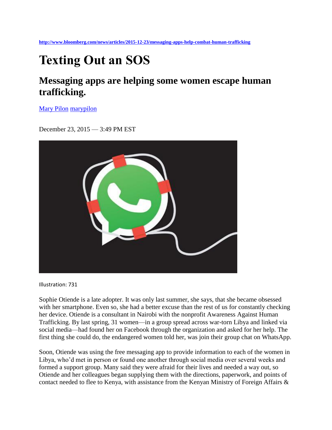**<http://www.bloomberg.com/news/articles/2015-12-23/messaging-apps-help-combat-human-trafficking>**

## **Texting Out an SOS**

## **Messaging apps are helping some women escape human trafficking.**

[Mary Pilon](http://www.bloomberg.com/authors/AP3VMI5_iLk/mary-pilon) [marypilon](http://twitter.com/marypilon) 

December 23, 2015 — 3:49 PM EST



Illustration: 731

Sophie Otiende is a late adopter. It was only last summer, she says, that she became obsessed with her smartphone. Even so, she had a better excuse than the rest of us for constantly checking her device. Otiende is a consultant in Nairobi with the nonprofit Awareness Against Human Trafficking. By last spring, 31 women—in a group spread across war-torn Libya and linked via social media—had found her on Facebook through the organization and asked for her help. The first thing she could do, the endangered women told her, was join their group chat on WhatsApp.

Soon, Otiende was using the free messaging app to provide information to each of the women in Libya, who'd met in person or found one another through social media over several weeks and formed a support group. Many said they were afraid for their lives and needed a way out, so Otiende and her colleagues began supplying them with the directions, paperwork, and points of contact needed to flee to Kenya, with assistance from the Kenyan Ministry of Foreign Affairs &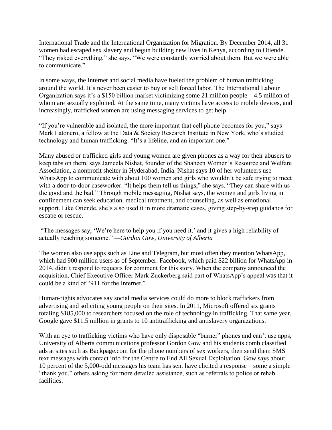International Trade and the International Organization for Migration. By December 2014, all 31 women had escaped sex slavery and begun building new lives in Kenya, according to Otiende. "They risked everything," she says. "We were constantly worried about them. But we were able to communicate."

In some ways, the Internet and social media have fueled the problem of human trafficking around the world. It's never been easier to buy or sell forced labor. The International Labour Organization says it's a \$150 billion market victimizing some 21 million people—4.5 million of whom are sexually exploited. At the same time, many victims have access to mobile devices, and increasingly, trafficked women are using messaging services to get help.

"If you're vulnerable and isolated, the more important that cell phone becomes for you," says Mark Latonero, a fellow at the Data & Society Research Institute in New York, who's studied technology and human trafficking. "It's a lifeline, and an important one."

Many abused or trafficked girls and young women are given phones as a way for their abusers to keep tabs on them, says Jameela Nishat, founder of the Shaheen Women's Resource and Welfare Association, a nonprofit shelter in Hyderabad, India. Nishat says 10 of her volunteers use WhatsApp to communicate with about 100 women and girls who wouldn't be safe trying to meet with a door-to-door caseworker. "It helps them tell us things," she says. "They can share with us the good and the bad." Through mobile messaging, Nishat says, the women and girls living in confinement can seek education, medical treatment, and counseling, as well as emotional support. Like Otiende, she's also used it in more dramatic cases, giving step-by-step guidance for escape or rescue.

"The messages say, 'We're here to help you if you need it,' and it gives a high reliability of actually reaching someone." *—Gordon Gow, University of Alberta*

The women also use apps such as Line and Telegram, but most often they mention WhatsApp, which had 900 million users as of September. Facebook, which paid \$22 billion for WhatsApp in 2014, didn't respond to requests for comment for this story. When the company announced the acquisition, Chief Executive Officer Mark Zuckerberg said part of WhatsApp's appeal was that it could be a kind of "911 for the Internet."

Human-rights advocates say social media services could do more to block traffickers from advertising and soliciting young people on their sites. In 2011, Microsoft offered six grants totaling \$185,000 to researchers focused on the role of technology in trafficking. That same year, Google gave \$11.5 million in grants to 10 antitrafficking and antislavery organizations.

With an eye to trafficking victims who have only disposable "burner" phones and can't use apps, University of Alberta communications professor Gordon Gow and his students comb classified ads at sites such as Backpage.com for the phone numbers of sex workers, then send them SMS text messages with contact info for the Centre to End All Sexual Exploitation. Gow says about 10 percent of the 5,000-odd messages his team has sent have elicited a response—some a simple "thank you," others asking for more detailed assistance, such as referrals to police or rehab facilities.